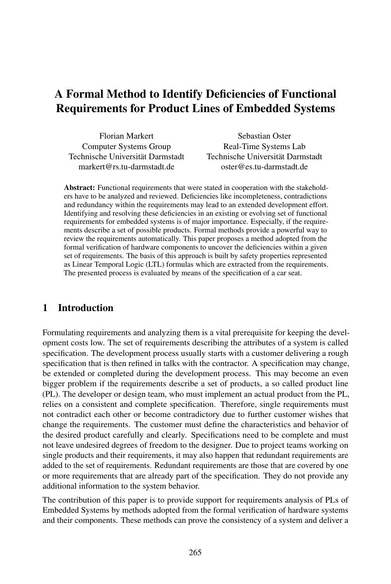# A Formal Method to Identify Deficiencies of Functional Requirements for Product Lines of Embedded Systems

| <b>Florian Markert</b>           |     |
|----------------------------------|-----|
| Computer Systems Group           |     |
| Technische Universität Darmstadt | Tec |
| markert@rs.tu-darmstadt.de       |     |

Sebastian Oster Real-Time Systems Lab hnische Universität Darmstadt oster@es.tu-darmstadt.de

Abstract: Functional requirements that were stated in cooperation with the stakeholders have to be analyzed and reviewed. Deficiencies like incompleteness, contradictions and redundancy within the requirements may lead to an extended development effort. Identifying and resolving these deficiencies in an existing or evolving set of functional requirements for embedded systems is of major importance. Especially, if the requirements describe a set of possible products. Formal methods provide a powerful way to review the requirements automatically. This paper proposes a method adopted from the formal verification of hardware components to uncover the deficiencies within a given set of requirements. The basis of this approach is built by safety properties represented as Linear Temporal Logic (LTL) formulas which are extracted from the requirements. The presented process is evaluated by means of the specification of a car seat.

### 1 Introduction

Formulating requirements and analyzing them is a vital prerequisite for keeping the development costs low. The set of requirements describing the attributes of a system is called specification. The development process usually starts with a customer delivering a rough specification that is then refined in talks with the contractor. A specification may change, be extended or completed during the development process. This may become an even bigger problem if the requirements describe a set of products, a so called product line (PL). The developer or design team, who must implement an actual product from the PL, relies on a consistent and complete specification. Therefore, single requirements must not contradict each other or become contradictory due to further customer wishes that change the requirements. The customer must define the characteristics and behavior of the desired product carefully and clearly. Specifications need to be complete and must not leave undesired degrees of freedom to the designer. Due to project teams working on single products and their requirements, it may also happen that redundant requirements are added to the set of requirements. Redundant requirements are those that are covered by one or more requirements that are already part of the specification. They do not provide any additional information to the system behavior.

The contribution of this paper is to provide support for requirements analysis of PLs of Embedded Systems by methods adopted from the formal verification of hardware systems and their components. These methods can prove the consistency of a system and deliver a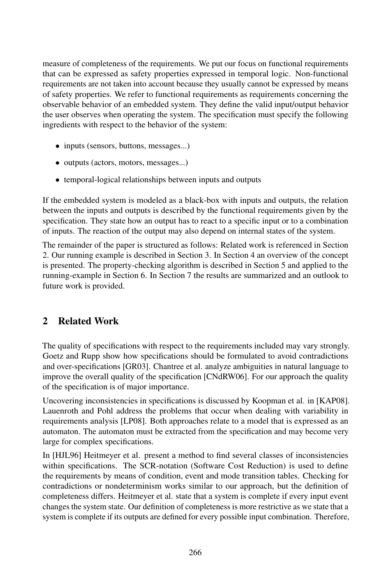measure of completeness of the requirements. We put our focus on functional requirements that can be expressed as safety properties expressed in temporal logic. Non-functional requirements are not taken into account because they usually cannot be expressed by means of safety properties. We refer to functional requirements as requirements concerning the observable behavior of an embedded system. They define the valid input/output behavior the user observes when operating the system. The specification must specify the following ingredients with respect to the behavior of the system:

- inputs (sensors, buttons, messages...)
- outputs (actors, motors, messages...)
- temporal-logical relationships between inputs and outputs

If the embedded system is modeled as a black-box with inputs and outputs, the relation between the inputs and outputs is described by the functional requirements given by the specification. They state how an output has to react to a specific input or to a combination of inputs. The reaction of the output may also depend on internal states of the system.

The remainder of the paper is structured as follows: Related work is referenced in Section 2. Our running example is described in Section 3. In Section 4 an overview of the concept is presented. The property-checking algorithm is described in Section 5 and applied to the running-example in Section 6. In Section 7 the results are summarized and an outlook to future work is provided.

## 2 Related Work

The quality of specifications with respect to the requirements included may vary strongly. Goetz and Rupp show how specifications should be formulated to avoid contradictions and over-specifications [GR03]. Chantree et al. analyze ambiguities in natural language to improve the overall quality of the specification [CNdRW06]. For our approach the quality of the specification is of major importance.

Uncovering inconsistencies in specifications is discussed by Koopman et al. in [KAP08]. Lauenroth and Pohl address the problems that occur when dealing with variability in requirements analysis [LP08]. Both approaches relate toamodel that is expressed as an automaton. The automaton must be extracted from the specification and may become very large for complex specifications.

In [HJL96] Heitmeyer et al. present a method to find several classes of inconsistencies within specifications. The SCR-notation (Software Cost Reduction) is used to define the requirements by means of condition, event and mode transition tables. Checking for contradictions or nondeterminism works similar to our approach, but the definition of completeness differs. Heitmeyer et al. state that a system is complete if every input event changes the system state. Our definition of completeness is more restrictive as we state that a system is complete if its outputs are defined for every possible input combination. Therefore,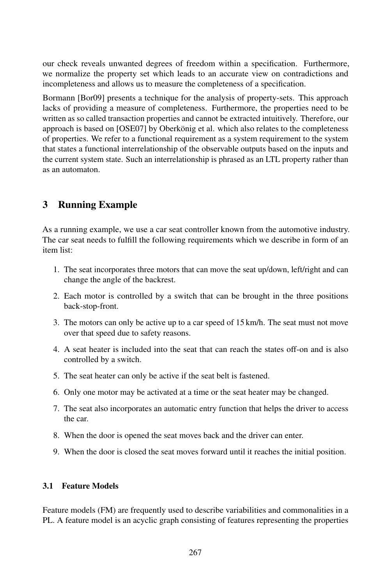our check reveals unwanted degrees of freedom within a specification. Furthermore, we normalize the property set which leads to an accurate view on contradictions and incompleteness and allows us to measure the completeness of a specification.

Bormann [Bor09] presents a technique for the analysis of property-sets. This approach lacks of providing a measure of completeness. Furthermore, the properties need to be written as so called transaction properties and cannot be extracted intuitively. Therefore, our approach is based on [OSE07] by Oberkönig et al. which also relates to the completeness of properties. We refer to a functional requirement as a system requirement to the system that states a functional interrelationship of the observable outputs based on the inputs and the current system state. Such an interrelationship is phrased as an LTL property rather than as an automaton.

## 3 Running Example

As a running example, we use a car seat controller known from the automotive industry. The car seat needs to fulfill the following requirements which we describe in form of an item list:

- 1. The seat incorporates three motors that can move the seat up/down, left/right and can change the angle of the backrest.
- 2. Each motor is controlled by a switch that can be brought in the three positions back-stop-front.
- 3. The motors can only be active up to a car speed of 15 km/h. The seat must not move over that speed due to safety reasons.
- 4. A seat heater is included into the seat that can reach the states off-on and is also controlled by a switch.
- 5. The seat heater can only be active if the seat belt is fastened.
- 6. Only one motor may be activated at a time or the seat heater may be changed.
- 7. The seat also incorporates an automatic entry function that helps the driver to access the car.
- 8. When the door is opened the seat moves back and the driver can enter.
- 9. When the door is closed the seat moves forward until it reaches the initial position.

### 3.1 Feature Models

Feature models (FM) are frequently used to describe variabilities and commonalities in a PL. A feature model is an acyclic graph consisting of features representing the properties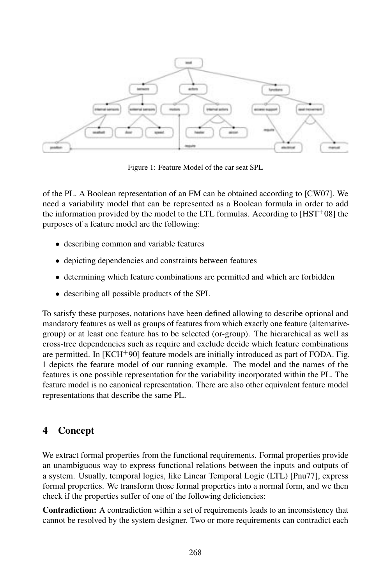

Figure 1: Feature Model of the car seat SPL

of the PL. A Boolean representation of an FM can be obtained according to [CW07]. We need a variability model that can be represented as a Boolean formula in order to add the information provided by the model to the LTL formulas. According to  $[HST<sup>+</sup>08]$  the purposes of a feature model are the following:

- describing common and variable features
- depicting dependencies and constraints between features
- determining which feature combinations are permitted and which are forbidden
- describing all possible products of the SPL

To satisfy these purposes, notations have been defined allowing to describe optional and mandatory features as well as groups of features from which exactly one feature (alternativegroup) or at least one feature has to be selected (or-group). The hierarchical as well as cross-tree dependencies such as require and exclude decide which feature combinations are permitted. In  $[KCH^+90]$  feature models are initially introduced as part of FODA. Fig. 1 depicts the feature model of our running example. The model and the names of the features is one possible representation for the variability incorporated within the PL. The feature model is no canonical representation. There are also other equivalent feature model representations that describe the same PL.

### 4 Concept

We extract formal properties from the functional requirements. Formal properties provide an unambiguous way to express functional relations between the inputs and outputs of a system. Usually, temporal logics, like Linear Temporal Logic (LTL) [Pnu77], express formal properties. We transform those formal properties into a normal form, and we then check if the properties suffer of one of the following deficiencies:

Contradiction: A contradiction within a set of requirements leads to an inconsistency that cannot be resolved by the system designer. Two or more requirements can contradict each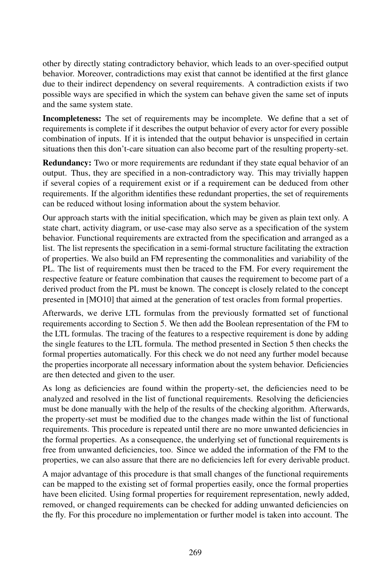other by directly stating contradictory behavior, which leads to an over-specified output behavior. Moreover, contradictions may exist that cannot be identified at the first glance due to their indirect dependency on several requirements. A contradiction exists if two possible ways are specified in which the system can behave given the same set of inputs and the same system state.

Incompleteness: The set of requirements may be incomplete. We define that a set of requirements is complete if it describes the output behavior of every actor for every possible combination of inputs. If it is intended that the output behavior is unspecified in certain situations then this don't-care situation can also become part of the resulting property-set.

Redundancy: Two or more requirements are redundant if they state equal behavior of an output. Thus, they are specified in a non-contradictory way. This may trivially happen if several copies of a requirement exist or if a requirement can be deduced from other requirements. If the algorithm identifies these redundant properties, the set of requirements can be reduced without losing information about the system behavior.

Our approach starts with the initial specification, which may be given as plain text only. A state chart, activity diagram, or use-case may also serve as a specification of the system behavior. Functional requirements are extracted from the specification and arranged as a list. The list represents the specification in a semi-formal structure facilitating the extraction of properties. We also build an FM representing the commonalities and variability of the PL. The list of requirements must then be traced to the FM. For every requirement the respective feature or feature combination that causes the requirement to become part of a derived product from the PL must be known. The concept is closely related to the concept presented in [MO10] that aimed at the generation of test oracles from formal properties.

Afterwards, we derive LTL formulas from the previously formatted set of functional requirements according to Section 5. We then add the Boolean representation of the FM to the LTL formulas. The tracing of the features to a respective requirement is done by adding the single features to the LTL formula. The method presented in Section 5 then checks the formal properties automatically. For this check we do not need any further model because the properties incorporate all necessary information about the system behavior. Deficiencies are then detected and given to the user.

As long as deficiencies are found within the property-set, the deficiencies need to be analyzed and resolved in the list of functional requirements. Resolving the deficiencies must be done manually with the help of the results of the checking algorithm. Afterwards, the property-set must be modified due to the changes made within the list of functional requirements. This procedure is repeated until there are no more unwanted deficiencies in the formal properties. As a consequence, the underlying set of functional requirements is free from unwanted deficiencies, too. Since we added the information of the FM to the properties, we can also assure that there are no deficiencies left for every derivable product.

A major advantage of this procedure is that small changes of the functional requirements can be mapped to the existing set of formal properties easily, once the formal properties have been elicited. Using formal properties for requirement representation, newly added, removed, or changed requirements can be checked for adding unwanted deficiencies on the fly. For this procedure no implementation or further model is taken into account. The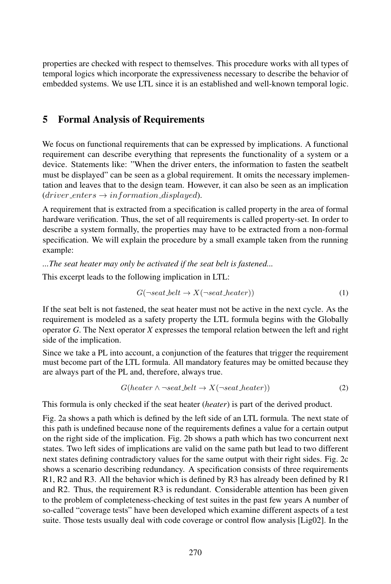properties are checked with respect to themselves. This procedure works with all types of temporal logics which incorporate the expressiveness necessary to describe the behavior of embedded systems. We use LTL since it is an established and well-known temporal logic.

### 5 Formal Analysis of Requirements

We focus on functional requirements that can be expressed by implications. A functional requirement can describe everything that represents the functionality of a system or a device. Statements like: "When the driver enters, the information to fasten the seatbelt must be displayed" can be seen as a global requirement. It omits the necessary implementation and leaves that to the design team. However, it can also be seen as an implication  $(driver\_enters \rightarrow information\_display)$ .

A requirement that is extracted from a specification is called property in the area of formal hardware verification. Thus, the set of all requirements is called property-set. In order to describe a system formally, the properties may have to be extracted from a non-formal specification. We will explain the procedure by a small example taken from the running example:

*...The seat heater may only be activated if the seat belt is fastened...*

This excerpt leads to the following implication in LTL:

$$
G(\neg seat{\_}belt \to X(\neg seat{\_}heatr))
$$
 (1)

If the seat belt is not fastened, the seat heater must not be active in the next cycle. As the requirement is modeled as a safety property the LTL formula begins with the Globally operator *G*. The Next operator *X* expresses the temporal relation between the left and right side of the implication.

Since we take a PL into account, a conjunction of the features that trigger the requirement must become part of the LTL formula. All mandatory features may be omitted because they are always part of the PL and, therefore, always true.

$$
G(heater \land \neg seat{\_}belt \to X(\neg seat{\_}heater))
$$
\n<sup>(2)</sup>

This formula is only checked if the seat heater (*heater*) is part of the derived product.

Fig. 2a shows a path which is defined by the left side of an LTL formula. The next state of this path is undefined because none of the requirements defines a value for a certain output on the right side of the implication. Fig. 2b shows a path which has two concurrent next states. Two left sides of implications are valid on the same path but lead to two different next states defining contradictory values for the same output with their right sides. Fig. 2c shows a scenario describing redundancy. A specification consists of three requirements R1, R2 and R3. All the behavior which is defined by R3 has already been defined by R1 and R2. Thus, the requirement R3 is redundant. Considerable attention has been given to the problem of completeness-checking of test suites in the past few years A number of so-called "coverage tests" have been developed which examine different aspects of a test suite. Those tests usually deal with code coverage or control flow analysis [Lig02]. In the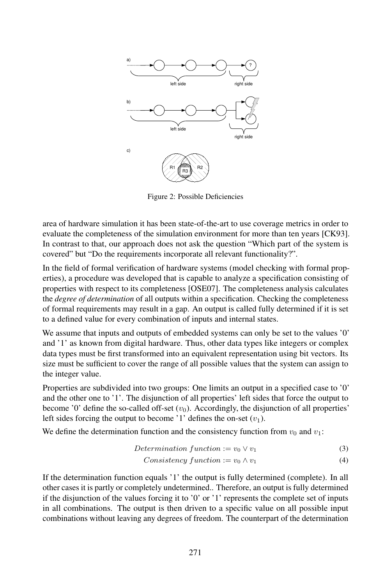

Figure 2: Possible Deficiencies

area of hardware simulation it has been state-of-the-art to use coverage metrics in order to evaluate the completeness of the simulation environment for more than ten years [CK93]. In contrast to that, our approach does not ask the question "Which part of the system is covered" but "Do the requirements incorporate all relevant functionality?".

In the field of formal verification of hardware systems (model checking with formal properties), a procedure was developed that is capable to analyze a specification consisting of properties with respect to its completeness [OSE07]. The completeness analysis calculates the *degree of determination* of all outputs within a specification. Checking the completeness of formal requirements may result in a gap. An output is called fully determined if it is set to a defined value for every combination of inputs and internal states.

We assume that inputs and outputs of embedded systems can only be set to the values '0' and '1' as known from digital hardware. Thus, other data types like integers or complex data types must be first transformed into an equivalent representation using bit vectors. Its size must be sufficient to cover the range of all possible values that the system can assign to the integer value.

Properties are subdivided into two groups: One limits an output in a specified case to '0' and the other one to '1'. The disjunction of all properties' left sides that force the output to become '0' define the so-called off-set  $(v_0)$ . Accordingly, the disjunction of all properties' left sides forcing the output to become '1' defines the on-set  $(v_1)$ .

We define the determination function and the consistency function from  $v_0$  and  $v_1$ :

$$
Determination function := v_0 \vee v_1 \tag{3}
$$

$$
Consistency function := v_0 \wedge v_1 \tag{4}
$$

If the determination function equals '1' the output is fully determined (complete). In all other cases it is partly or completely undetermined.. Therefore, an output is fully determined if the disjunction of the values forcing it to '0' or '1' represents the complete set of inputs in all combinations. The output is then driven to a specific value on all possible input combinations without leaving any degrees of freedom. The counterpart of the determination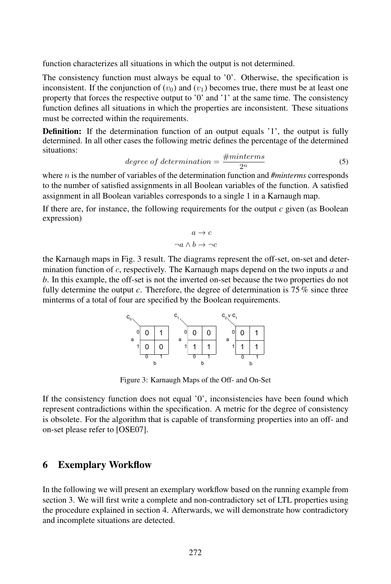function characterizes all situations in which the output is not determined.

The consistency function must always be equal to '0'. Otherwise, the specification is inconsistent. If the conjunction of  $(v_0)$  and  $(v_1)$  becomes true, there must be at least one property that forces the respective output to '0' and '1' at the same time. The consistency function defines all situations in which the properties are inconsistent. These situations must be corrected within the requirements.

**Definition:** If the determination function of an output equals '1', the output is fully determined. In all other cases the following metric defines the percentage of the determined situations:

$$
degree of determination = \frac{\#minterms}{2^n}
$$
 (5)

where n is the number of variables of the determination function and *#minterms* corresponds to the number of satisfied assignments in all Boolean variables of the function. A satisfied assignment in all Boolean variables corresponds to a single 1 in a Karnaugh map.

If there are, for instance, the following requirements for the output *c* given (as Boolean expression)

$$
a \to c
$$
  

$$
\neg a \land b \to \neg c
$$

the Karnaugh maps in Fig. 3 result. The diagrams represent the off-set, on-set and determination function of c, respectively. The Karnaugh maps depend on the two inputs *a* and *b*. In this example, the off-set is not the inverted on-set because the two properties do not fully determine the output *c*. Therefore, the degree of determination is 75 % since three minterms of a total of four are specified by the Boolean requirements.

| $C_{0}$ |  |  | c      |  | $C_0$ v $C_1$ |   |   |
|---------|--|--|--------|--|---------------|---|---|
| 0<br>a  |  |  | 0<br>a |  | a             | ი |   |
|         |  |  |        |  |               |   |   |
|         |  |  |        |  |               |   |   |
|         |  |  |        |  |               |   | r |

Figure 3: Karnaugh Maps of the Off- and On-Set

If the consistency function does not equal '0', inconsistencies have been found which represent contradictions within the specification. A metric for the degree of consistency is obsolete. For the algorithm that is capable of transforming properties into an off- and on-set please refer to [OSE07].

#### 6 Exemplary Workflow

In the following we will present an exemplary workflow based on the running example from section 3. We will first write a complete and non-contradictory set of LTL properties using the procedure explained in section 4. Afterwards, we will demonstrate how contradictory and incomplete situations are detected.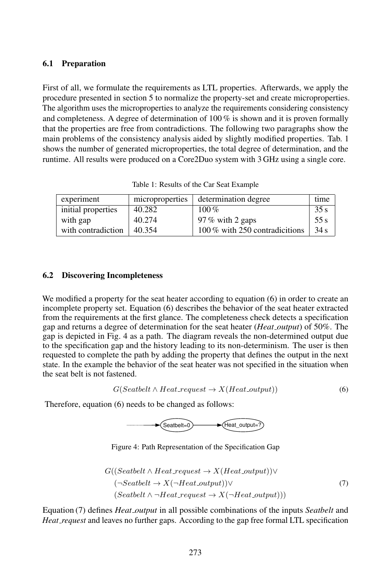#### 6.1 Preparation

First of all, we formulate the requirements as LTL properties. Afterwards, we apply the procedure presented in section 5 to normalize the property-set and create microproperties. The algorithm uses the microproperties to analyze the requirements considering consistency and completeness. A degree of determination of 100 % is shown and it is proven formally that the properties are free from contradictions. The following two paragraphs show the main problems of the consistency analysis aided by slightly modified properties. Tab. 1 shows the number of generated microproperties, the total degree of determination, and the runtime. All results were produced on a Core2Duo system with 3 GHz using a single core.

| experiment         | microproperties | determination degree           | time |
|--------------------|-----------------|--------------------------------|------|
| initial properties | 40.282          | $100\%$                        | 35s  |
| with gap           | 40.274          | 97 % with 2 gaps               | 55 s |
| with contradiction | 40.354          | 100 % with 250 contradicitions | 34 s |

Table 1: Results of the Car Seat Example

#### 6.2 Discovering Incompleteness

We modified a property for the seat heater according to equation (6) in order to create an incomplete property set. Equation (6) describes the behavior of the seat heater extracted from the requirements at the first glance. The completeness check detects a specification gap and returns a degree of determination for the seat heater (*Heat output*) of 50%. The gap is depicted in Fig. 4 as a path. The diagram reveals the non-determined output due to the specification gap and the history leading to its non-determinism. The user is then requested to complete the path by adding the property that defines the output in the next state. In the example the behavior of the seat heater was not specified in the situation when the seat belt is not fastened.

$$
G(Seatbelt \wedge Heat\_request \rightarrow X(Heat\_output))
$$
 (6)

Therefore, equation (6) needs to be changed as follows:



Figure 4: Path Representation of the Specification Gap

$$
G((Seatbelt \land Heat.request \to X(Heat.output)) \lor (¬Seatbelt \to X(¬Heat.output)) \lor (Seatbelt \land ¬Heat.request \to X(¬Heat.output)))
$$
 (7)

Equation (7) defines *Heat output* in all possible combinations of the inputs *Seatbelt* and *Heat request* and leaves no further gaps. According to the gap free formal LTL specification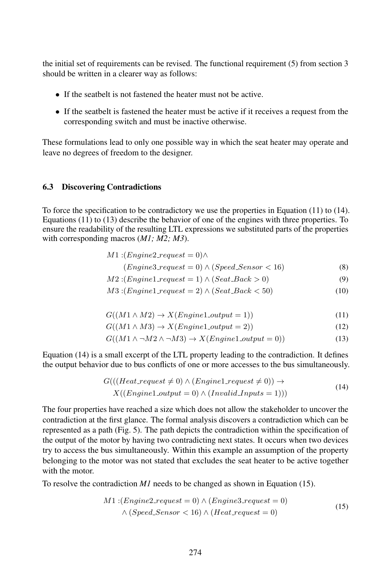the initial set of requirements can be revised. The functional requirement (5) from section 3 should be written in a clearer way as follows:

- If the seatbelt is not fastened the heater must not be active.
- If the seatbelt is fastened the heater must be active if it receives a request from the corresponding switch and must be inactive otherwise.

These formulations lead to only one possible way in which the seat heater may operate and leave no degrees of freedom to the designer.

#### 6.3 Discovering Contradictions

To force the specification to be contradictory we use the properties in Equation (11) to (14). Equations (11) to (13) describe the behavior of one of the engines with three properties. To ensure the readability of the resulting LTL expressions we substituted parts of the properties with corresponding macros (*M1; M2; M3*).

| $M1:(Engine2\_request = 0) \wedge$ |  |
|------------------------------------|--|
|------------------------------------|--|

$$
(Engine 3\_request = 0) \land (Speed\_Sensor < 16) \tag{8}
$$

$$
M2:(Engineering1\_request = 1) \land (Seat\_Back > 0)
$$
\n(9)

$$
M3:(Engineering1.request = 2) \land (Seat\_\text{Back} < 50) \tag{10}
$$

$$
G((M1 \wedge M2) \to X(Engineering1.output = 1))
$$
\n<sup>(11)</sup>

$$
G((M1 \wedge M3) \to X(Engineering1\_output = 2))
$$
\n<sup>(12)</sup>

$$
G((M1 \land \neg M2 \land \neg M3) \to X(English\_output = 0))
$$
\n(13)

Equation (14) is a small excerpt of the LTL property leading to the contradiction. It defines the output behavior due to bus conflicts of one or more accesses to the bus simultaneously.

$$
G(((Heat\_request \neq 0) \land (Engineering1\_request \neq 0)) \rightarrow
$$
  
 
$$
X((Engineering1\_output = 0) \land (Invalid\_InputStream = 1)))
$$
 (14)

The four properties have reached a size which does not allow the stakeholder to uncover the contradiction at the first glance. The formal analysis discovers a contradiction which can be represented as a path (Fig. 5). The path depicts the contradiction within the specification of the output of the motor by having two contradicting next states. It occurs when two devices try to access the bus simultaneously. Within this example an assumption of the property belonging to the motor was not stated that excludes the seat heater to be active together with the motor.

To resolve the contradiction *M1* needs to be changed as shown in Equation (15).

$$
M1:(Engine2.request = 0) \land (Engine3.request = 0)
$$

$$
\land (Speed\_Sensor < 16) \land (Heat.request = 0)
$$
\n(15)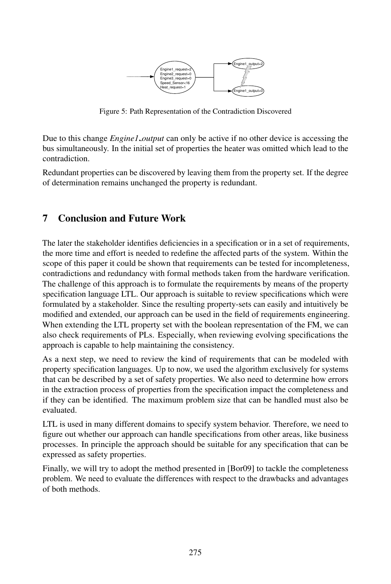

Figure 5: Path Representation of the Contradiction Discovered

Due to this change *Engine1 output* can only be active if no other device is accessing the bus simultaneously. In the initial set of properties the heater was omitted which lead to the contradiction.

Redundant properties can be discovered by leaving them from the property set. If the degree of determination remains unchanged the property is redundant.

## 7 Conclusion and Future Work

The later the stakeholder identifies deficiencies in a specification or in a set of requirements, the more time and effort is needed to redefine the affected parts of the system. Within the scope of this paper it could be shown that requirements can be tested for incompleteness, contradictions and redundancy with formal methods taken from the hardware verification. The challenge of this approach is to formulate the requirements by means of the property specification language LTL. Our approach is suitable to review specifications which were formulated by a stakeholder. Since the resulting property-sets can easily and intuitively be modified and extended, our approach can be used in the field of requirements engineering. When extending the LTL property set with the boolean representation of the FM, we can also check requirements of PLs. Especially, when reviewing evolving specifications the approach is capable to help maintaining the consistency.

As a next step, we need to review the kind of requirements that can be modeled with property specification languages. Up to now, we used the algorithm exclusively for systems that can be described by a set of safety properties. We also need to determine how errors in the extraction process of properties from the specification impact the completeness and if they can be identified. The maximum problem size that can be handled must also be evaluated.

LTL is used in many different domains to specify system behavior. Therefore, we need to figure out whether our approach can handle specifications from other areas, like business processes. In principle the approach should be suitable for any specification that can be expressed as safety properties.

Finally, we will try to adopt the method presented in [Bor09] to tackle the completeness problem. We need to evaluate the differences with respect to the drawbacks and advantages of both methods.